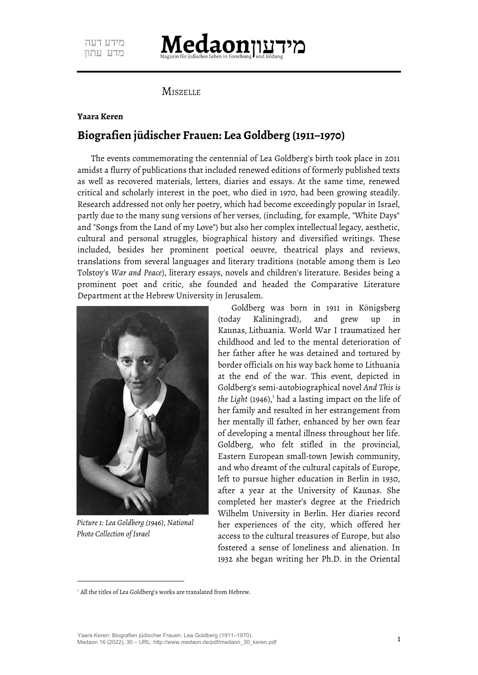## **Iedaonnu**

**MISZELLE** 

## **Yaara Keren**

## **Biografien jüdischer Frauen: Lea Goldberg (1911–1970)**

The events commemorating the centennial of Lea Goldberg's birth took place in 2011 amidst a flurry of publications that included renewed editions of formerly published texts as well as recovered materials, letters, diaries and essays. At the same time, renewed critical and scholarly interest in the poet, who died in 1970, had been growing steadily. Research addressed not only her poetry, which had become exceedingly popular in Israel, partly due to the many sung versions of her verses, (including, for example, "White Days" and "Songs from the Land of my Love") but also her complex intellectual legacy, aesthetic, cultural and personal struggles, biographical history and diversified writings. These included, besides her prominent poetical oeuvre, theatrical plays and reviews, translations from several languages and literary traditions (notable among them is Leo Tolstoy's *War and Peace*), literary essays, novels and children's literature. Besides being a prominent poet and critic, she founded and headed the Comparative Literature Department at the Hebrew University in Jerusalem.



*Picture 1: Lea Goldberg (1946), National Photo Collection of Israel*

<span id="page-0-0"></span>Goldberg was born in 1911 in Königsberg (today Kaliningrad), and grew up in Kaunas, Lithuania. World War I traumatized her childhood and led to the mental deterioration of her father after he was detained and tortured by border officials on his way back home to Lithuania at the end of the war. This event, depicted in Goldberg's semi-autobiographical novel *And This is* the Light ([1](#page-0-1)946),<sup>1</sup> had a lasting impact on the life of her family and resulted in her estrangement from her mentally ill father, enhanced by her own fear of developing a mental illness throughout her life. Goldberg, who felt stifled in the provincial, Eastern European small-town Jewish community, and who dreamt of the cultural capitals of Europe, left to pursue higher education in Berlin in 1930, after a year at the University of Kaunas. She completed her master's degree at the Friedrich Wilhelm University in Berlin. Her diaries record her experiences of the city, which offered her access to the cultural treasures of Europe, but also fostered a sense of loneliness and alienation. In 1932 she began writing her Ph.D. in the Oriental

<span id="page-0-1"></span><sup>&</sup>lt;sup>[1](#page-0-0)</sup> All the titles of Lea Goldberg's works are translated from Hebrew.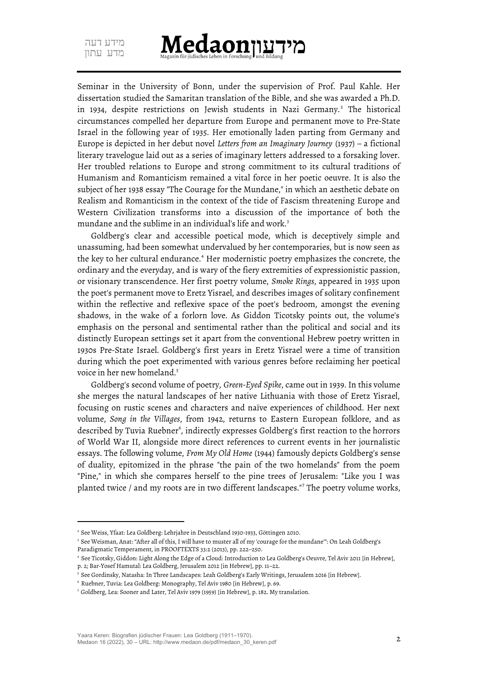<span id="page-1-0"></span>

Seminar in the University of Bonn, under the supervision of Prof. Paul Kahle. Her dissertation studied the Samaritan translation of the Bible, and she was awarded a Ph.D. in 1934, despite restrictions on Jewish students in Nazi Germany.<sup>[2](#page-1-1)</sup> The historical circumstances compelled her departure from Europe and permanent move to Pre-State Israel in the following year of 1935. Her emotionally laden parting from Germany and Europe is depicted in her debut novel *Letters from an Imaginary Journey* (1937) – a fictional literary travelogue laid out as a series of imaginary letters addressed to a forsaking lover. Her troubled relations to Europe and strong commitment to its cultural traditions of Humanism and Romanticism remained a vital force in her poetic oeuvre. It is also the subject of her 1938 essay "The Courage for the Mundane," in which an aesthetic debate on Realism and Romanticism in the context of the tide of Fascism threatening Europe and Western Civilization transforms into a discussion of the importance of both the mundane and the sublime in an individual's life and work.<sup>[3](#page-1-3)</sup>

<span id="page-1-4"></span><span id="page-1-2"></span>Goldberg's clear and accessible poetical mode, which is deceptively simple and unassuming, had been somewhat undervalued by her contemporaries, but is now seen as the key to her cultural endurance.<sup>[4](#page-1-5)</sup> Her modernistic poetry emphasizes the concrete, the ordinary and the everyday, and is wary of the fiery extremities of expressionistic passion, or visionary transcendence. Her first poetry volume, *Smoke Rings*, appeared in 1935 upon the poet's permanent move to Eretz Yisrael, and describes images of solitary confinement within the reflective and reflexive space of the poet's bedroom, amongst the evening shadows, in the wake of a forlorn love. As Giddon Ticotsky points out, the volume's emphasis on the personal and sentimental rather than the political and social and its distinctly European settings set it apart from the conventional Hebrew poetry written in 1930s Pre-State Israel. Goldberg's first years in Eretz Yisrael were a time of transition during which the poet experimented with various genres before reclaiming her poetical voice in her new homeland.<sup>[5](#page-1-7)</sup>

<span id="page-1-8"></span><span id="page-1-6"></span>Goldberg's second volume of poetry, *Green-Eyed Spike*, came out in 1939. In this volume she merges the natural landscapes of her native Lithuania with those of Eretz Yisrael, focusing on rustic scenes and characters and naïve experiences of childhood. Her next volume, *Song in the Villages*, from 1942, returns to Eastern European folklore, and as described by Tuvia Ruebner $^{\circ}$ , indirectly expresses Goldberg's first reaction to the horrors of World War II, alongside more direct references to current events in her journalistic essays. The following volume, *From My Old Home* (1944) famously depicts Goldberg's sense of duality, epitomized in the phrase "the pain of the two homelands" from the poem "Pine," in which she compares herself to the pine trees of Jerusalem: "Like you I was planted twice / and my roots are in two different landscapes."[7](#page-1-11) The poetry volume works,

<span id="page-1-10"></span><span id="page-1-1"></span>[<sup>2</sup>](#page-1-0) See Weiss, Yfaat: Lea Goldberg: Lehrjahre in Deutschland 1930-1933, Göttingen 2010.

<span id="page-1-3"></span>[<sup>3</sup>](#page-1-2) See Weisman, Anat: "After all of this, I will have to muster all of my 'courage for the mundane'": On Leah Goldberg's Paradigmatic Temperament, in PROOFTEXTS 33:2 (2013), pp. 222–250.

<span id="page-1-5"></span>[<sup>4</sup>](#page-1-4) See Ticotsky, Giddon: Light Along the Edge of a Cloud: Introduction to Lea Goldberg's Oeuvre, Tel Aviv 2011 [in Hebrew], p. 2; Bar-Yosef Hamutal: Lea Goldberg, Jerusalem 2012 [in Hebrew], pp. 11–22.

<span id="page-1-7"></span>[<sup>5</sup>](#page-1-6) See Gordinsky, Natasha: In Three Landscapes: Leah Goldberg's Early Writings, Jerusalem 2016 [in Hebrew].

<span id="page-1-9"></span>[<sup>6</sup>](#page-1-8) Ruebner, Tuvia: Lea Goldberg: Monography, Tel Aviv 1980 [in Hebrew], p. 69.

<span id="page-1-11"></span>[<sup>7</sup>](#page-1-10) Goldberg, Lea: Sooner and Later, Tel Aviv 1979 (1959) [in Hebrew], p. 182. My translation.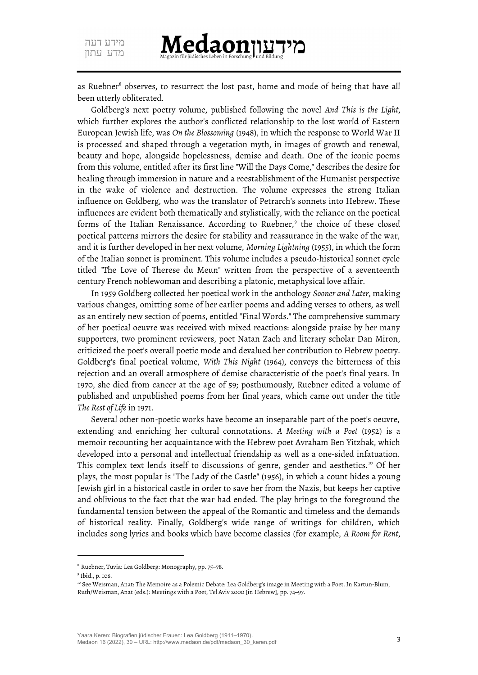מידעווMedaon

<span id="page-2-0"></span>as Ruebner<sup>[8](#page-2-1)</sup> observes, to resurrect the lost past, home and mode of being that have all been utterly obliterated.

Goldberg's next poetry volume, published following the novel *And This is the Light*, which further explores the author's conflicted relationship to the lost world of Eastern European Jewish life, was *On the Blossoming* (1948), in which the response to World War II is processed and shaped through a vegetation myth, in images of growth and renewal, beauty and hope, alongside hopelessness, demise and death. One of the iconic poems from this volume, entitled after its first line "Will the Days Come," describes the desire for healing through immersion in nature and a reestablishment of the Humanist perspective in the wake of violence and destruction. The volume expresses the strong Italian influence on Goldberg, who was the translator of Petrarch's sonnets into Hebrew. These influences are evident both thematically and stylistically, with the reliance on the poetical forms of the Italian Renaissance. According to Ruebner,<sup>[9](#page-2-3)</sup> the choice of these closed poetical patterns mirrors the desire for stability and reassurance in the wake of the war, and it is further developed in her next volume, *Morning Lightning* (1955), in which the form of the Italian sonnet is prominent. This volume includes a pseudo-historical sonnet cycle titled "The Love of Therese du Meun" written from the perspective of a seventeenth century French noblewoman and describing a platonic, metaphysical love affair.

<span id="page-2-2"></span>In 1959 Goldberg collected her poetical work in the anthology *Sooner and Later*, making various changes, omitting some of her earlier poems and adding verses to others, as well as an entirely new section of poems, entitled "Final Words." The comprehensive summary of her poetical oeuvre was received with mixed reactions: alongside praise by her many supporters, two prominent reviewers, poet Natan Zach and literary scholar Dan Miron, criticized the poet's overall poetic mode and devalued her contribution to Hebrew poetry. Goldberg's final poetical volume, *With This Night* (1964), conveys the bitterness of this rejection and an overall atmosphere of demise characteristic of the poet's final years. In 1970, she died from cancer at the age of 59; posthumously, Ruebner edited a volume of published and unpublished poems from her final years, which came out under the title *The Rest of Life* in 1971.

<span id="page-2-4"></span>Several other non-poetic works have become an inseparable part of the poet's oeuvre, extending and enriching her cultural connotations. *A Meeting with a Poet* (1952) is a memoir recounting her acquaintance with the Hebrew poet Avraham Ben Yitzhak, which developed into a personal and intellectual friendship as well as a one-sided infatuation. This complex text lends itself to discussions of genre, gender and aesthetics.<sup>[10](#page-2-5)</sup> Of her plays, the most popular is "The Lady of the Castle" (1956), in which a count hides a young Jewish girl in a historical castle in order to save her from the Nazis, but keeps her captive and oblivious to the fact that the war had ended. The play brings to the foreground the fundamental tension between the appeal of the Romantic and timeless and the demands of historical reality. Finally, Goldberg's wide range of writings for children, which includes song lyrics and books which have become classics (for example, *A Room for Rent*,

<span id="page-2-1"></span>[<sup>8</sup>](#page-2-0) Ruebner, Tuvia: Lea Goldberg: Monography, pp. 75–78.

<span id="page-2-3"></span>[<sup>9</sup>](#page-2-2) Ibid., p. 106.

<span id="page-2-5"></span><sup>&</sup>lt;sup>[10](#page-2-4)</sup> See Weisman, Anat: The Memoire as a Polemic Debate: Lea Goldberg's image in Meeting with a Poet. In Kartun-Blum, Ruth/Weisman, Anat (eds.): Meetings with a Poet, Tel Aviv 2000 [in Hebrew], pp. 74–97.